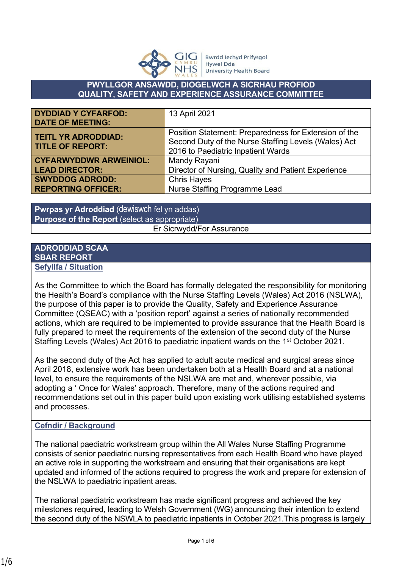

**Bwrdd lechyd Prifysgol Hywel Dda University Health Board** 

## **PWYLLGOR ANSAWDD, DIOGELWCH A SICRHAU PROFIOD QUALITY, SAFETY AND EXPERIENCE ASSURANCE COMMITTEE**

| <b>DYDDIAD Y CYFARFOD:</b>    | 13 April 2021                                         |
|-------------------------------|-------------------------------------------------------|
| <b>DATE OF MEETING:</b>       |                                                       |
| <b>TEITL YR ADRODDIAD:</b>    | Position Statement: Preparedness for Extension of the |
| <b>TITLE OF REPORT:</b>       | Second Duty of the Nurse Staffing Levels (Wales) Act  |
|                               | 2016 to Paediatric Inpatient Wards                    |
| <b>CYFARWYDDWR ARWEINIOL:</b> | Mandy Rayani                                          |
| <b>LEAD DIRECTOR:</b>         | Director of Nursing, Quality and Patient Experience   |
| <b>SWYDDOG ADRODD:</b>        | <b>Chris Hayes</b>                                    |
| <b>REPORTING OFFICER:</b>     | Nurse Staffing Programme Lead                         |

**Pwrpas yr Adroddiad** (dewiswch fel yn addas) **Purpose of the Report** (select as appropriate) Er Sicrwydd/For Assurance

## **ADRODDIAD SCAA SBAR REPORT Sefyllfa / Situation**

As the Committee to which the Board has formally delegated the responsibility for monitoring the Health's Board's compliance with the Nurse Staffing Levels (Wales) Act 2016 (NSLWA), the purpose of this paper is to provide the Quality, Safety and Experience Assurance Committee (QSEAC) with a 'position report' against a series of nationally recommended actions, which are required to be implemented to provide assurance that the Health Board is fully prepared to meet the requirements of the extension of the second duty of the Nurse Staffing Levels (Wales) Act 2016 to paediatric inpatient wards on the 1st October 2021.

As the second duty of the Act has applied to adult acute medical and surgical areas since April 2018, extensive work has been undertaken both at a Health Board and at a national level, to ensure the requirements of the NSLWA are met and, wherever possible, via adopting a ' Once for Wales' approach. Therefore, many of the actions required and recommendations set out in this paper build upon existing work utilising established systems and processes.

## **Cefndir / Background**

The national paediatric workstream group within the All Wales Nurse Staffing Programme consists of senior paediatric nursing representatives from each Health Board who have played an active role in supporting the workstream and ensuring that their organisations are kept updated and informed of the actions required to progress the work and prepare for extension of the NSLWA to paediatric inpatient areas.

The national paediatric workstream has made significant progress and achieved the key milestones required, leading to Welsh Government (WG) announcing their intention to extend the second duty of the NSWLA to paediatric inpatients in October 2021.This progress is largely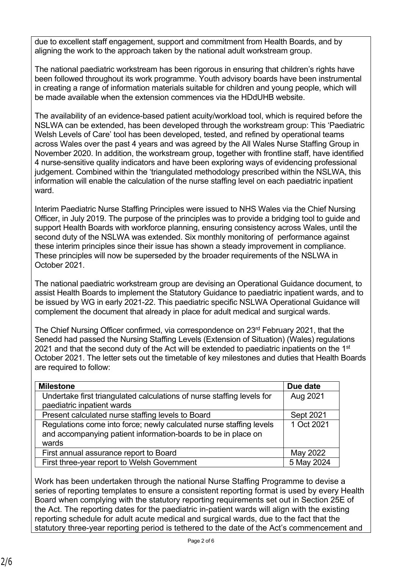due to excellent staff engagement, support and commitment from Health Boards, and by aligning the work to the approach taken by the national adult workstream group.

The national paediatric workstream has been rigorous in ensuring that children's rights have been followed throughout its work programme. Youth advisory boards have been instrumental in creating a range of information materials suitable for children and young people, which will be made available when the extension commences via the HDdUHB website.

The availability of an evidence-based patient acuity/workload tool, which is required before the NSLWA can be extended, has been developed through the workstream group: This 'Paediatric Welsh Levels of Care' tool has been developed, tested, and refined by operational teams across Wales over the past 4 years and was agreed by the All Wales Nurse Staffing Group in November 2020. In addition, the workstream group, together with frontline staff, have identified 4 nurse-sensitive quality indicators and have been exploring ways of evidencing professional judgement. Combined within the 'triangulated methodology prescribed within the NSLWA, this information will enable the calculation of the nurse staffing level on each paediatric inpatient ward.

Interim Paediatric Nurse Staffing Principles were issued to NHS Wales via the Chief Nursing Officer, in July 2019. The purpose of the principles was to provide a bridging tool to guide and support Health Boards with workforce planning, ensuring consistency across Wales, until the second duty of the NSLWA was extended. Six monthly monitoring of performance against these interim principles since their issue has shown a steady improvement in compliance. These principles will now be superseded by the broader requirements of the NSLWA in October 2021.

The national paediatric workstream group are devising an Operational Guidance document, to assist Health Boards to implement the Statutory Guidance to paediatric inpatient wards, and to be issued by WG in early 2021-22. This paediatric specific NSLWA Operational Guidance will complement the document that already in place for adult medical and surgical wards.

The Chief Nursing Officer confirmed, via correspondence on 23rd February 2021, that the Senedd had passed the Nursing Staffing Levels (Extension of Situation) (Wales) regulations 2021 and that the second duty of the Act will be extended to paediatric inpatients on the  $1<sup>st</sup>$ October 2021. The letter sets out the timetable of key milestones and duties that Health Boards are required to follow:

| <b>Milestone</b>                                                       | Due date   |
|------------------------------------------------------------------------|------------|
| Undertake first triangulated calculations of nurse staffing levels for | Aug 2021   |
| paediatric inpatient wards                                             |            |
| Present calculated nurse staffing levels to Board                      | Sept 2021  |
| Regulations come into force; newly calculated nurse staffing levels    | 1 Oct 2021 |
| and accompanying patient information-boards to be in place on          |            |
| wards                                                                  |            |
| First annual assurance report to Board                                 | May 2022   |
| First three-year report to Welsh Government                            | 5 May 2024 |

Work has been undertaken through the national Nurse Staffing Programme to devise a series of reporting templates to ensure a consistent reporting format is used by every Health Board when complying with the statutory reporting requirements set out in Section 25E of the Act. The reporting dates for the paediatric in-patient wards will align with the existing reporting schedule for adult acute medical and surgical wards, due to the fact that the statutory three-year reporting period is tethered to the date of the Act's commencement and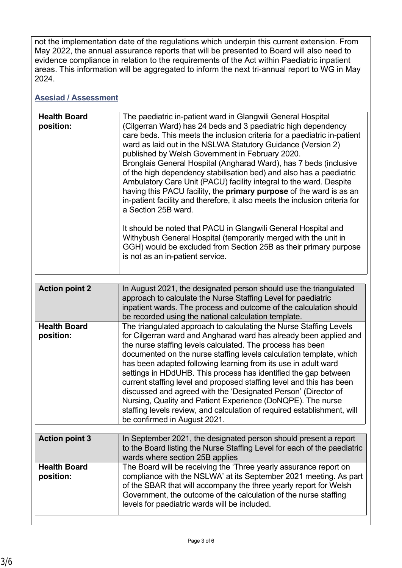not the implementation date of the regulations which underpin this current extension. From May 2022, the annual assurance reports that will be presented to Board will also need to evidence compliance in relation to the requirements of the Act within Paediatric inpatient areas. This information will be aggregated to inform the next tri-annual report to WG in May 2024.

| <b>Asesiad / Assessment</b>      |                                                                                                                                                                                                                                                                                                                                                                                                                                                                                                                                                                                                                                                                                                                                                                                                                                                                                                                                                                                 |
|----------------------------------|---------------------------------------------------------------------------------------------------------------------------------------------------------------------------------------------------------------------------------------------------------------------------------------------------------------------------------------------------------------------------------------------------------------------------------------------------------------------------------------------------------------------------------------------------------------------------------------------------------------------------------------------------------------------------------------------------------------------------------------------------------------------------------------------------------------------------------------------------------------------------------------------------------------------------------------------------------------------------------|
| <b>Health Board</b><br>position: | The paediatric in-patient ward in Glangwili General Hospital<br>(Cilgerran Ward) has 24 beds and 3 paediatric high dependency<br>care beds. This meets the inclusion criteria for a paediatric in-patient<br>ward as laid out in the NSLWA Statutory Guidance (Version 2)<br>published by Welsh Government in February 2020.<br>Bronglais General Hospital (Angharad Ward), has 7 beds (inclusive<br>of the high dependency stabilisation bed) and also has a paediatric<br>Ambulatory Care Unit (PACU) facility integral to the ward. Despite<br>having this PACU facility, the <b>primary purpose</b> of the ward is as an<br>in-patient facility and therefore, it also meets the inclusion criteria for<br>a Section 25B ward.<br>It should be noted that PACU in Glangwill General Hospital and<br>Withybush General Hospital (temporarily merged with the unit in<br>GGH) would be excluded from Section 25B as their primary purpose<br>is not as an in-patient service. |
| <b>Action point 2</b>            | In August 2021, the designated person should use the triangulated<br>approach to calculate the Nurse Staffing Level for paediatric<br>inpatient wards. The process and outcome of the calculation should<br>be recorded using the national calculation template.                                                                                                                                                                                                                                                                                                                                                                                                                                                                                                                                                                                                                                                                                                                |
| <b>Health Board</b><br>position: | The triangulated approach to calculating the Nurse Staffing Levels<br>for Cilgerran ward and Angharad ward has already been applied and<br>the nurse staffing levels calculated. The process has been<br>documented on the nurse staffing levels calculation template, which<br>has been adapted following learning from its use in adult ward<br>settings in HDdUHB. This process has identified the gap between<br>current staffing level and proposed staffing level and this has been<br>discussed and agreed with the 'Designated Person' (Director of<br>Nursing, Quality and Patient Experience (DoNQPE). The nurse<br>staffing levels review, and calculation of required establishment, will<br>be confirmed in August 2021.                                                                                                                                                                                                                                           |
| <b>Action point 3</b>            | In September 2021, the designated person should present a report<br>to the Board listing the Nurse Staffing Level for each of the paediatric<br>wards where section 25B applies                                                                                                                                                                                                                                                                                                                                                                                                                                                                                                                                                                                                                                                                                                                                                                                                 |
| <b>Health Board</b><br>position: | The Board will be receiving the 'Three yearly assurance report on<br>compliance with the NSLWA' at its September 2021 meeting. As part<br>of the SBAR that will accompany the three yearly report for Welsh<br>Government, the outcome of the calculation of the nurse staffing<br>levels for paediatric wards will be included.                                                                                                                                                                                                                                                                                                                                                                                                                                                                                                                                                                                                                                                |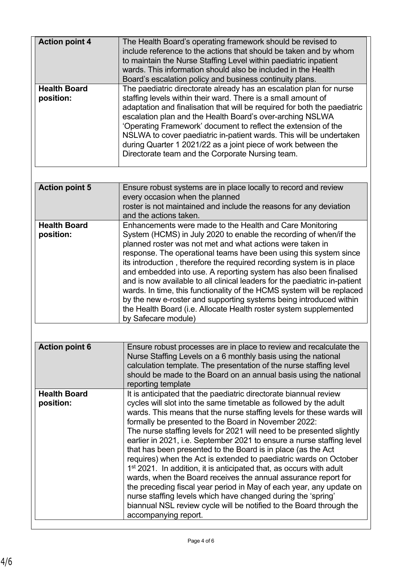| <b>Action point 4</b><br><b>Health Board</b> | The Health Board's operating framework should be revised to<br>include reference to the actions that should be taken and by whom<br>to maintain the Nurse Staffing Level within paediatric inpatient<br>wards. This information should also be included in the Health<br>Board's escalation policy and business continuity plans.<br>The paediatric directorate already has an escalation plan for nurse                                                                                                                                                                                                                                                                                                                                                                                                                                                                                                                                                  |  |
|----------------------------------------------|-----------------------------------------------------------------------------------------------------------------------------------------------------------------------------------------------------------------------------------------------------------------------------------------------------------------------------------------------------------------------------------------------------------------------------------------------------------------------------------------------------------------------------------------------------------------------------------------------------------------------------------------------------------------------------------------------------------------------------------------------------------------------------------------------------------------------------------------------------------------------------------------------------------------------------------------------------------|--|
| position:                                    | staffing levels within their ward. There is a small amount of<br>adaptation and finalisation that will be required for both the paediatric<br>escalation plan and the Health Board's over-arching NSLWA<br>'Operating Framework' document to reflect the extension of the<br>NSLWA to cover paediatric in-patient wards. This will be undertaken<br>during Quarter 1 2021/22 as a joint piece of work between the<br>Directorate team and the Corporate Nursing team.                                                                                                                                                                                                                                                                                                                                                                                                                                                                                     |  |
| <b>Action point 5</b>                        | Ensure robust systems are in place locally to record and review<br>every occasion when the planned<br>roster is not maintained and include the reasons for any deviation<br>and the actions taken.                                                                                                                                                                                                                                                                                                                                                                                                                                                                                                                                                                                                                                                                                                                                                        |  |
| <b>Health Board</b><br>position:             | Enhancements were made to the Health and Care Monitoring<br>System (HCMS) in July 2020 to enable the recording of when/if the<br>planned roster was not met and what actions were taken in<br>response. The operational teams have been using this system since<br>its introduction, therefore the required recording system is in place<br>and embedded into use. A reporting system has also been finalised<br>and is now available to all clinical leaders for the paediatric in-patient<br>wards. In time, this functionality of the HCMS system will be replaced<br>by the new e-roster and supporting systems being introduced within<br>the Health Board (i.e. Allocate Health roster system supplemented<br>by Safecare module)                                                                                                                                                                                                                   |  |
| <b>Action point 6</b>                        | Ensure robust processes are in place to review and recalculate the<br>Nurse Staffing Levels on a 6 monthly basis using the national<br>calculation template. The presentation of the nurse staffing level<br>should be made to the Board on an annual basis using the national<br>reporting template                                                                                                                                                                                                                                                                                                                                                                                                                                                                                                                                                                                                                                                      |  |
| <b>Health Board</b><br>position:             | It is anticipated that the paediatric directorate biannual review<br>cycles will slot into the same timetable as followed by the adult<br>wards. This means that the nurse staffing levels for these wards will<br>formally be presented to the Board in November 2022:<br>The nurse staffing levels for 2021 will need to be presented slightly<br>earlier in 2021, i.e. September 2021 to ensure a nurse staffing level<br>that has been presented to the Board is in place (as the Act<br>requires) when the Act is extended to paediatric wards on October<br>1 <sup>st</sup> 2021. In addition, it is anticipated that, as occurs with adult<br>wards, when the Board receives the annual assurance report for<br>the preceding fiscal year period in May of each year, any update on<br>nurse staffing levels which have changed during the 'spring'<br>biannual NSL review cycle will be notified to the Board through the<br>accompanying report. |  |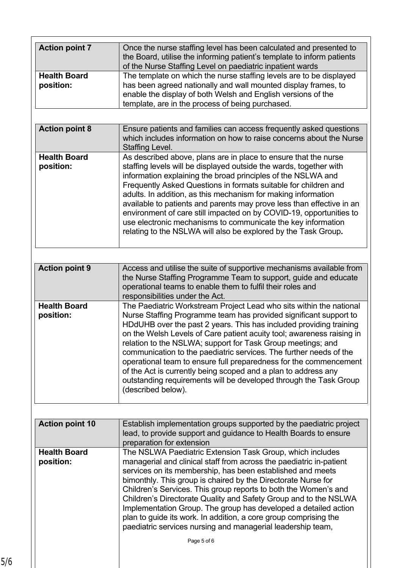| <b>Action point 7</b>  | Once the nurse staffing level has been calculated and presented to     |
|------------------------|------------------------------------------------------------------------|
|                        | the Board, utilise the informing patient's template to inform patients |
|                        | of the Nurse Staffing Level on paediatric inpatient wards              |
| <b>Health Board</b>    | The template on which the nurse staffing levels are to be displayed    |
| position:              | has been agreed nationally and wall mounted display frames, to         |
|                        | enable the display of both Welsh and English versions of the           |
|                        | template, are in the process of being purchased.                       |
|                        |                                                                        |
|                        |                                                                        |
| <b>Action point 8</b>  | Ensure patients and families can access frequently asked questions     |
|                        | which includes information on how to raise concerns about the Nurse    |
|                        | <b>Staffing Level.</b>                                                 |
| <b>Health Board</b>    | As described above, plans are in place to ensure that the nurse        |
| position:              | staffing levels will be displayed outside the wards, together with     |
|                        | information explaining the broad principles of the NSLWA and           |
|                        | Frequently Asked Questions in formats suitable for children and        |
|                        | adults. In addition, as this mechanism for making information          |
|                        | available to patients and parents may prove less than effective in an  |
|                        | environment of care still impacted on by COVID-19, opportunities to    |
|                        | use electronic mechanisms to communicate the key information           |
|                        |                                                                        |
|                        | relating to the NSLWA will also be explored by the Task Group.         |
|                        |                                                                        |
|                        |                                                                        |
| <b>Action point 9</b>  | Access and utilise the suite of supportive mechanisms available from   |
|                        | the Nurse Staffing Programme Team to support, guide and educate        |
|                        | operational teams to enable them to fulfil their roles and             |
|                        | responsibilities under the Act.                                        |
| <b>Health Board</b>    | The Paediatric Workstream Project Lead who sits within the national    |
| position:              | Nurse Staffing Programme team has provided significant support to      |
|                        | HDdUHB over the past 2 years. This has included providing training     |
|                        | on the Welsh Levels of Care patient acuity tool; awareness raising in  |
|                        | relation to the NSLWA; support for Task Group meetings; and            |
|                        | communication to the paediatric services. The further needs of the     |
|                        | operational team to ensure full preparedness for the commencement      |
|                        | of the Act is currently being scoped and a plan to address any         |
|                        |                                                                        |
|                        | outstanding requirements will be developed through the Task Group      |
|                        | (described below).                                                     |
|                        |                                                                        |
| <b>Action point 10</b> | Establish implementation groups supported by the paediatric project    |
|                        | lead, to provide support and guidance to Health Boards to ensure       |
|                        | preparation for extension                                              |
| <b>Health Board</b>    |                                                                        |
|                        | The NSLWA Paediatric Extension Task Group, which includes              |
|                        |                                                                        |
| position:              | managerial and clinical staff from across the paediatric in-patient    |
|                        | services on its membership, has been established and meets             |
|                        | bimonthly. This group is chaired by the Directorate Nurse for          |
|                        | Children's Services. This group reports to both the Women's and        |
|                        |                                                                        |
|                        | Children's Directorate Quality and Safety Group and to the NSLWA       |
|                        | Implementation Group. The group has developed a detailed action        |
|                        | plan to guide its work. In addition, a core group comprising the       |
|                        | paediatric services nursing and managerial leadership team,            |
|                        | Page 5 of 6                                                            |
|                        |                                                                        |